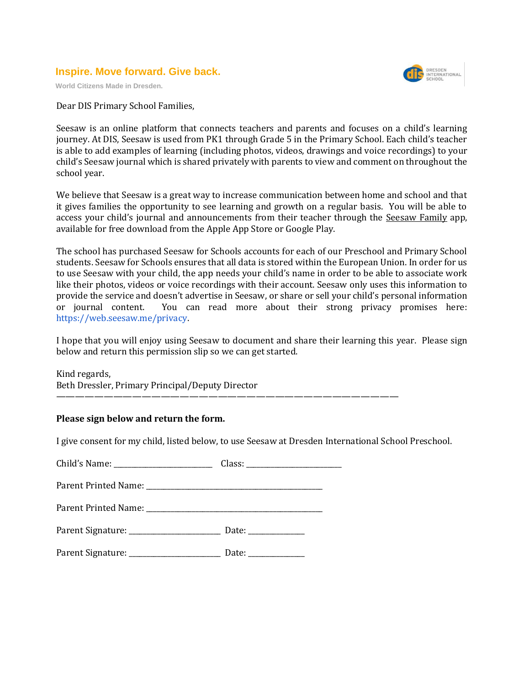## **Inspire. Move forward. Give back.**

**World Citizens Made in Dresden.**



Dear DIS Primary School Families,

Seesaw is an online platform that connects teachers and parents and focuses on a child's learning journey. At DIS, Seesaw is used from PK1 through Grade 5 in the Primary School. Each child's teacher is able to add examples of learning (including photos, videos, drawings and voice recordings) to your child's Seesaw journal which is shared privately with parents to view and comment on throughout the school year.

We believe that Seesaw is a great way to increase communication between home and school and that it gives families the opportunity to see learning and growth on a regular basis. You will be able to access your child's journal and announcements from their teacher through the Seesaw Family app, available for free download from the Apple App Store or Google Play.

The school has purchased Seesaw for Schools accounts for each of our Preschool and Primary School students. Seesaw for Schools ensures that all data is stored within the European Union. In order for us to use Seesaw with your child, the app needs your child's name in order to be able to associate work like their photos, videos or voice recordings with their account. Seesaw only uses this information to provide the service and doesn't advertise in Seesaw, or share or sell your child's personal information or journal content. You can read more about their strong privacy promises here: [https://web.seesaw.me/privacy.](https://web.seesaw.me/privacy)

I hope that you will enjoy using Seesaw to document and share their learning this year. Please sign below and return this permission slip so we can get started.

Kind regards, Beth Dressler, Primary Principal/Deputy Director

## **Please sign below and return the form.**

I give consent for my child, listed below, to use Seesaw at Dresden International School Preschool.

————————————————————————————————————